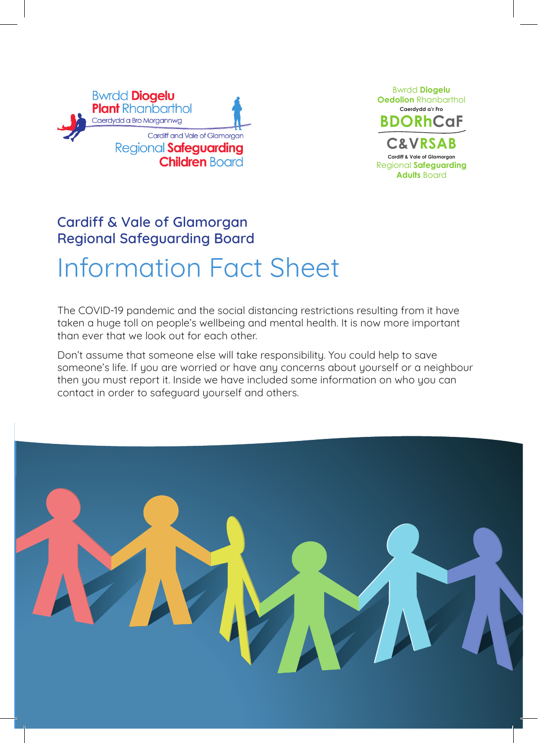



# Cardiff & Vale of Glamorgan Regional Safeguarding Board Information Fact Sheet

The COVID-19 pandemic and the social distancing restrictions resulting from it have taken a huge toll on people's wellbeing and mental health. It is now more important than ever that we look out for each other.

Don't assume that someone else will take responsibility. You could help to save someone's life. If you are worried or have any concerns about yourself or a neighbour then you must report it. Inside we have included some information on who you can contact in order to safeguard yourself and others.

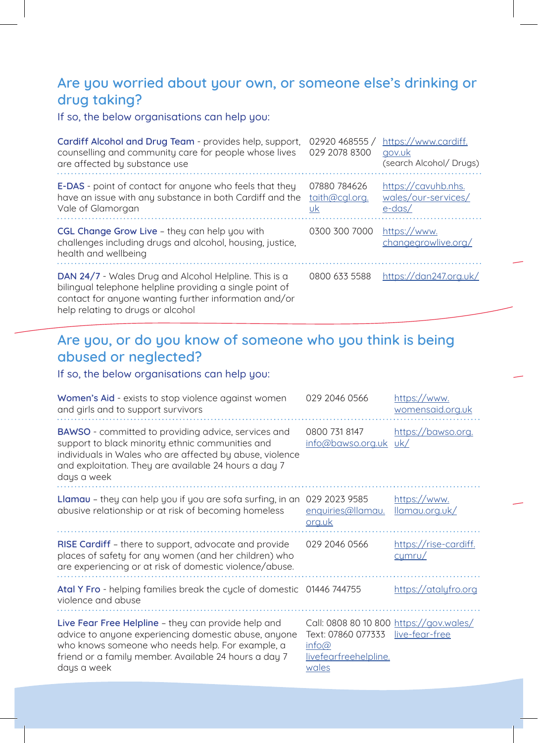## Are you worried about your own, or someone else's drinking or drug taking?

If so, the below organisations can help you:

| Cardiff Alcohol and Drug Team - provides help, support,<br>counselling and community care for people whose lives<br>are affected by substance use                          | 02920 468555 /<br>029 2078 8300      | https://www.cardiff.<br>gov.uk<br>(search Alcohol/ Drugs) |
|----------------------------------------------------------------------------------------------------------------------------------------------------------------------------|--------------------------------------|-----------------------------------------------------------|
| <b>E-DAS</b> - point of contact for anyone who feels that they<br>have an issue with any substance in both Cardiff and the<br>Vale of Glamorgan                            | 07880 784626<br>taith@cgl.org.<br>υk | https://cavuhb.nhs.<br>wales/our-services/<br>$e$ -das/   |
| CGL Change Grow Live - they can help you with<br>challenges including drugs and alcohol, housing, justice,<br>health and wellbeing                                         | 0300 300 7000                        | https://www.<br>changegrowlive.org/                       |
| DAN 24/7 - Wales Drug and Alcohol Helpline. This is a<br>bilingual telephone helpline providing a single point of<br>contact for anyone wanting further information and/or | 0800 633 5588                        | https://dan247.org.uk/                                    |

help relating to drugs or alcohol

# Are you, or do you know of someone who you think is being abused or neglected?

#### If so, the below organisations can help you:

| <b>Women's Aid</b> - exists to stop violence against women<br>and girls and to support survivors                                                                                                                                                   | 029 2046 0566                                                                                                           | https://www.<br>womensaid.org.uk |
|----------------------------------------------------------------------------------------------------------------------------------------------------------------------------------------------------------------------------------------------------|-------------------------------------------------------------------------------------------------------------------------|----------------------------------|
| <b>BAWSO</b> - committed to providing advice, services and<br>support to black minority ethnic communities and<br>individuals in Wales who are affected by abuse, violence<br>and exploitation. They are available 24 hours a day 7<br>days a week | 0800 731 8147<br>info@bawso.org.uk uk/                                                                                  | https://bawso.org.               |
| <b>Llamau</b> – they can help you if you are sofa surfing, in an<br>abusive relationship or at risk of becoming homeless                                                                                                                           | 029 2023 9585<br>enquiries@llamau.<br>org.uk                                                                            | https://www.<br>llamau.org.uk/   |
| RISE Cardiff - there to support, advocate and provide<br>places of safety for any women (and her children) who<br>are experiencing or at risk of domestic violence/abuse.                                                                          | 029 2046 0566                                                                                                           | https://rise-cardiff.<br>cumru/  |
| Atal Y Fro - helping families break the cycle of domestic 01446 744755<br>violence and abuse                                                                                                                                                       |                                                                                                                         | https://atalyfro.org             |
| Live Fear Free Helpline – they can provide help and<br>advice to anyone experiencing domestic abuse, anyone<br>who knows someone who needs help. For example, a<br>friend or a family member. Available 24 hours a day 7<br>days a week            | Call: 0808 80 10 800 https://gov.wales/<br>Text: 07860 077333 live-fear-free<br>info@<br>livefearfreehelpline.<br>wales |                                  |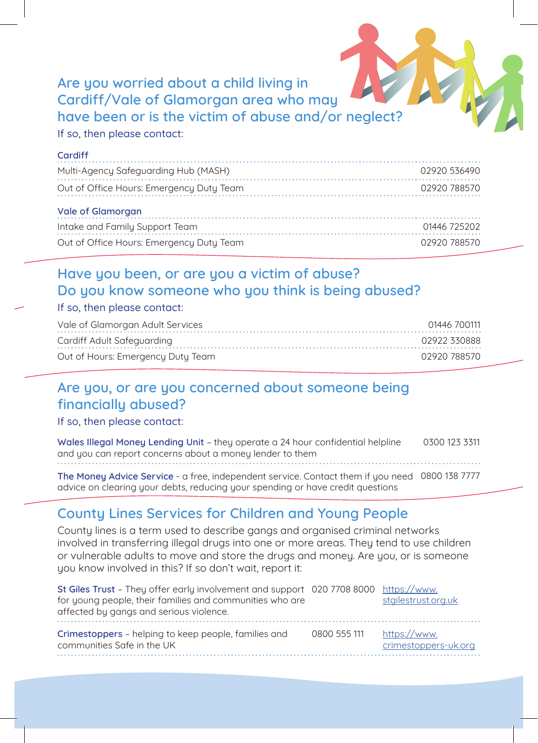# Are you worried about a child living in Cardiff/Vale of Glamorgan area who may have been or is the victim of abuse and/or neglect?

#### If so, then please contact:

| Cardiff                                  |              |
|------------------------------------------|--------------|
| Multi-Agency Safeguarding Hub (MASH)     | 02920 536490 |
| Out of Office Hours: Emergency Duty Team | 02920 788570 |
| Vale of Glamorgan                        |              |
| Intake and Family Support Team           | 01446 725202 |
| Out of Office Hours: Emergency Duty Team | 02920 788570 |

# Have you been, or are you a victim of abuse? Do you know someone who you think is being abused?

#### If so, then please contact:

| Vale of Glamorgan Adult Services  | 01446 700111 |
|-----------------------------------|--------------|
| Cardiff Adult Safeguarding        | 02922 330888 |
| Out of Hours: Emergency Duty Team | 02920 788570 |

### Are you, or are you concerned about someone being financially abused?

If so, then please contact:

Wales Illegal Money Lending Unit – they operate a 24 hour confidential helpline and you can report concerns about a money lender to them 0300 123 3311

The Money Advice Service - a free, independent service. Contact them if you need 0800 138 7777 advice on clearing your debts, reducing your spending or have credit questions

# County Lines Services for Children and Young People

County lines is a term used to describe gangs and organised criminal networks involved in transferring illegal drugs into one or more areas. They tend to use children or vulnerable adults to move and store the drugs and money. Are you, or is someone you know involved in this? If so don't wait, report it:

| St Giles Trust - They offer early involvement and support 020 7708 8000 https://www.<br>for young people, their families and communities who are<br>affected by gangs and serious violence. |              | stgilestrust.org.uk                  |
|---------------------------------------------------------------------------------------------------------------------------------------------------------------------------------------------|--------------|--------------------------------------|
| Crimestoppers – helping to keep people, families and<br>communities Safe in the UK                                                                                                          | 0800 555 111 | https://www.<br>crimestoppers-uk.org |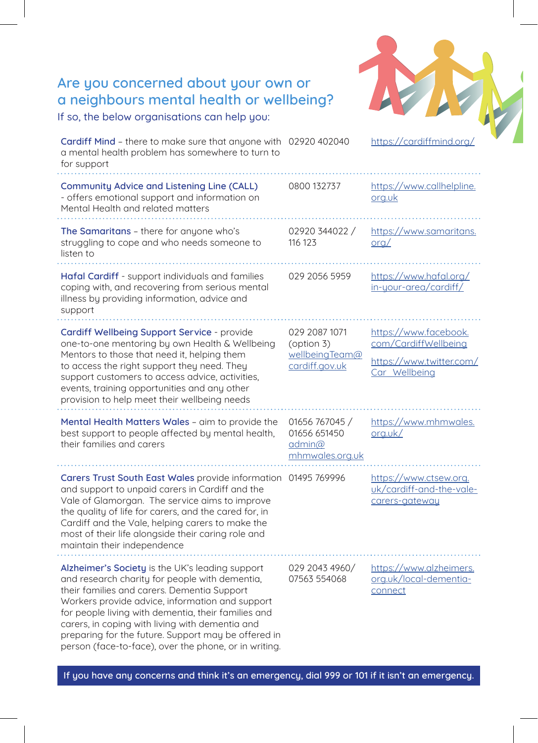| Are you concerned about your own or<br>a neighbours mental health or wellbeing?<br>If so, the below organisations can help you:                                                                                                                                                                                                                                                                                               |                                                                             |                                                                                            |
|-------------------------------------------------------------------------------------------------------------------------------------------------------------------------------------------------------------------------------------------------------------------------------------------------------------------------------------------------------------------------------------------------------------------------------|-----------------------------------------------------------------------------|--------------------------------------------------------------------------------------------|
| Cardiff Mind - there to make sure that anyone with 02920 402040<br>a mental health problem has somewhere to turn to<br>for support                                                                                                                                                                                                                                                                                            |                                                                             | https://cardiffmind.org/                                                                   |
| Community Advice and Listening Line (CALL)<br>- offers emotional support and information on<br>Mental Health and related matters                                                                                                                                                                                                                                                                                              | 0800 132737                                                                 | https://www.callhelpline.<br>org.uk                                                        |
| The Samaritans - there for anyone who's<br>struggling to cope and who needs someone to<br>listen to                                                                                                                                                                                                                                                                                                                           | 02920 344022 /<br>116 123                                                   | https://www.samaritans.<br>$\alpha$                                                        |
| <b>Hafal Cardiff</b> - support individuals and families<br>coping with, and recovering from serious mental<br>illness by providing information, advice and<br>support                                                                                                                                                                                                                                                         | 029 2056 5959                                                               | https://www.hafal.org/<br>in-your-area/cardiff/                                            |
| Cardiff Wellbeing Support Service - provide<br>one-to-one mentoring by own Health & Wellbeing<br>Mentors to those that need it, helping them<br>to access the right support they need. They<br>support customers to access advice, activities,<br>events, training opportunities and any other<br>provision to help meet their wellbeing needs                                                                                | 029 2087 1071<br>(option 3)<br>wellbeingTeam@<br>cardiff.gov.uk             | https://www.facebook.<br>com/CardiffWellbeing<br>https://www.twitter.com/<br>Car Wellbeing |
| Mental Health Matters Wales - aim to provide the<br>best support to people affected by mental health,<br>their families and carers                                                                                                                                                                                                                                                                                            | 01656 767045 /<br>01656 651450<br>$\alpha$ dmin $\alpha$<br>mhmwales.org.uk | https://www.mhmwales.<br>org.uk/                                                           |
| Carers Trust South East Wales provide information 01495 769996<br>and support to unpaid carers in Cardiff and the<br>Vale of Glamorgan. The service aims to improve<br>the quality of life for carers, and the cared for, in<br>Cardiff and the Vale, helping carers to make the<br>most of their life alongside their caring role and<br>maintain their independence                                                         |                                                                             | https://www.ctsew.org.<br>uk/cardiff-and-the-vale-<br>carers-gateway                       |
| Alzheimer's Society is the UK's leading support<br>and research charity for people with dementia,<br>their families and carers. Dementia Support<br>Workers provide advice, information and support<br>for people living with dementia, their families and<br>carers, in coping with living with dementia and<br>preparing for the future. Support may be offered in<br>person (face-to-face), over the phone, or in writing. | 029 2043 4960/<br>07563 554068                                              | https://www.alzheimers.<br>org.uk/local-dementia-<br>connect                               |

If you have any concerns and think it's an emergency, dial 999 or 101 if it isn't an emergency.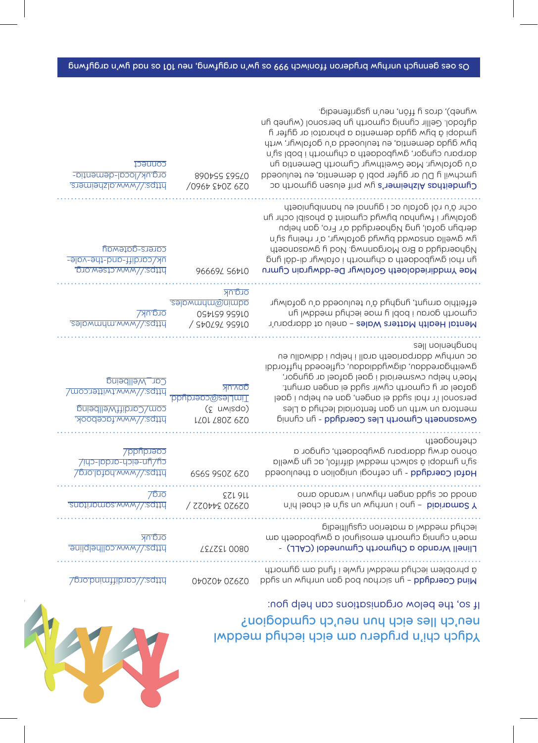

# Yubch chi'n pryderu am eich iechyd meddwl neu'ch lles eich hun neu'ch cymdogion?

| connect<br>org.uk/local-dementia-<br>https://www.dlzheimers.                               | 890+99 29940<br>0967 2707 670                                             | cipenetingsu non and nesgrifenedig.<br>q jopoticolium binus chuum au personol (wineb in<br>yndopi â by gyda dementia a pharatoi ar gyfer y<br>byw gyda dementia, eu teuluoedd a'u gofalwyr, wrth<br>darparu cyngor, gwybodaeth a chymorth i bobl sy'n<br>a'u gofalwyr. Mae Gweithwyr Cymorth Dementia yn<br>ymchwil y DU ar gyfer pobl â dementia, eu teuluoedd<br>Cymdeithas Alzheimer's yw prif elusen gymorth ac |
|--------------------------------------------------------------------------------------------|---------------------------------------------------------------------------|---------------------------------------------------------------------------------------------------------------------------------------------------------------------------------------------------------------------------------------------------------------------------------------------------------------------------------------------------------------------------------------------------------------------|
| carers-gateway<br><u>uk/cardiff-and-the-vale-</u><br>https://www.ctsew.org.                | 96669L S67LO                                                              | ochr â'u rôl gofalu ac i gynnal eu hannibyniaeth<br>dotalwyt i fwynhou bywyd cymeint â phosibl ochr yn<br>derbyn gofal, yng Nghaerdydd a'r Fro, gan helpu<br>a, dwella ansawdd bywyd gofalwyr, a'r rheiny sy'n<br>Nghaerdyba a Bro Morgannwg. Nod y gwasanaeth<br>an upoj dwapoqueth a chymorth i ofalwyr di-dâl yng<br>Mae Ymddiriedolaeth Gofalwyr De-ddwyrain Cymru                                              |
| <u>org.uk/</u><br>https://www.mhmwdles.                                                    | <u>org.uk</u><br>admin@mhmwales.<br><b>0SPLS9 9S9L0</b><br>/ St0L9L 9S910 | effeithio arnynt, ynghyd â'u teuluoedd a'u gofalwyr<br>chuoup doua i popi h wae jecphq weqqwi hu<br>Mental Health Matters Wales - anelu at ddarparu'r                                                                                                                                                                                                                                                               |
| Car Wellbeing<br>https://www.twitter.com/<br>com/CardiffWellbeing<br>https://www.facebook. | <u>Mu.vop</u><br>TimLles@caerdydd.<br>(c umisdo)<br>LZ0L Z80Z 6Z0         | hangueup lles<br>ac unrhyw ddarpariaeth arall i helpu i ddiwallu eu<br>gweithgareddau, digwyddiadau, cyfleoedd hyfforddi<br>Mae'n helpu cwsmeriaid i gael gafael ar gyngor,<br>gafael ar y cymorth cywir sydd ei angen arnynt.<br>personol i'r rhai sydd ei angen, gan eu helpu i gael<br>mentora un wrth un gan fentoriald lechyd a Lles<br>Ginnulo nul - bbubrab caerdybrab - yong binnig                         |
| <b>Caerdydd/</b><br>Cu/un-eich-ardal-chi/<br>https://www.hafal.org/                        | 6969 9907 670                                                             | chefnogaeth<br>opono qumâ qqarbaru gwybodaeth, cyngor a<br>sijum augobį g zajney weqqnį giujiyoj' ac ñb dmejja<br>Hafal Caerdybre - yn cefnogi unigolion a theuluoedd                                                                                                                                                                                                                                               |
| 2p<br>snptinompa.www/\.sqttd                                                               | TSS1 911<br>/ ZZ0tt2 0Z6Z0                                                | ouup opupum i unmfiyu uabup ppfis op ppoup<br><i>N</i> Samarial - yno i unrhyn un sy'n ei chael hi'n                                                                                                                                                                                                                                                                                                                |
| <u>org.uk</u><br><u>bttps://www.callhelpline.</u>                                          | <b>SELZEL 0080</b>                                                        | iechyd meddwl a materion cystilliedig<br>mo drapodywno cynorth emocional a gwyboddau<br>Llinell Wrando a Chymorth Cynunedol (CALL) -                                                                                                                                                                                                                                                                                |
| https://cardiffmind.org/                                                                   | 02620 402640                                                              | á phroplem iechylo meddwl rywle i fynd om gynorfh<br>pphs un mhyuun up6 poq noyupis uh - pphpuap puiN                                                                                                                                                                                                                                                                                                               |
|                                                                                            |                                                                           | If so, the below organisations can help you:                                                                                                                                                                                                                                                                                                                                                                        |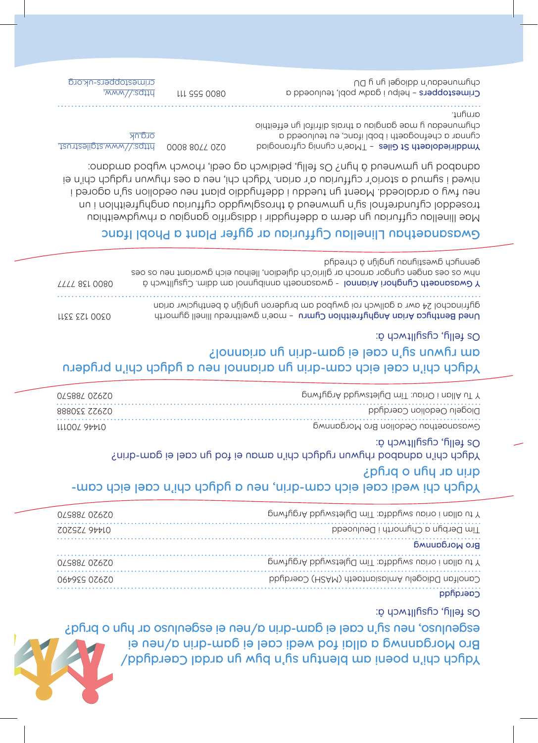

#### Yophian chi'n poeni am pleutha uring an byw yn ardal Yophia am byw yn ardal y Bro Morgannwg a allai fod wedi cael ei gam-drin a/neu ei esgen<sub>l</sub>neo<sup>,</sup> nen sñ, u cael ei gam-drin a/nen ei esgenluso ar hyn o bryd? Os felly, cysylltwch â:

| 029882 07670 | T tu allan i oriau swyddfi: Tim Dyletswydd Argytwng |
|--------------|-----------------------------------------------------|
| SOSSSY 3PPIO | Tim Derbyn a Chymorth i Deuluoedd                   |
|              | <b>RLO MOLOQUIMO</b>                                |
| 02988407670  | Th allan I oriau swyddfa: Tim Dyletswydd Argytwng   |
| 067929 07670 | Caeraltan Dalogelu Amlasiantaeth (MASH) Caerayadd   |
|              | Caerdplop                                           |

#### Ydych chi wedi cael eich cam-drin, neu a ydych chi'n cael eich camdrin ar hyn o bryd?

Yajabo cael ei poz anawun rydych chi'n amau ei fod yn cael ei gam-drin? Os felly, cysylltwch â:

| 0/988/07.670    | P Tu Allan i Oriau: Tîm Dyletswydd Argytwng |
|-----------------|---------------------------------------------|
| 888055 7.7.67.0 | Diogelu Oedolion Caerdydd                   |
| LLLOOZ 977LO    | Gwasanaethau Oedolion Bro Morgannwg         |

#### Ydych chi'n cael eich cam-drin yn ariannol neu a ydych chi'n pryderu am rywun sy'n cael ei gam-drin yn ariannol? Os felly, cysylltwch â:

| //// 821 0080 | upper os o cos audeu câudor arnocu ar glirio chi dyledion, lleihau eich gwariant neu os oes<br>Y Gwasanaeth Cyprominal - gwasanaeth annibynnol am ddin Cysylltwch ä |
|---------------|---------------------------------------------------------------------------------------------------------------------------------------------------------------------|
| LLEE EZL OOEO | gytrinachol 24 awr a gallwch roi gwybod am bryderon ynglŷn â benthyciwr arian<br>Uned Benthylog Arian Anghtrianthlon Cymru - mae'n gweithredu llinell gymorth       |

#### Gwasanaethau Llinellau Cyffuriau ar gyfer Plant a Phobl Ifanc

Mae llinellau cyffuriau yn derm a ddefnyddir i ddisgrifio gangiau a rhwydweithiau troseddol cyfundrefnol a'n ymwneud â throsglwyddol cyfuriau anghyfreithlou i un neu fwy o ardaloedd. Maent yn tueddu i ddefnyddio plant neu oedolion sy'n agored i niwed i symud a storio'r cyffuriau a'r arian. Ydych chi, neu a oes rhywun rydych chi'n ei adnabod yn ymwneud â hyn? Os felly, peidiwch ag oedi, rhowch wybod amdano:

Ymddiriedolaeth St Giles - TMae'n cynnig cyfranogiad cynnar a chefnogaeth i bobl ifanc, eu teuluoedd a chymunedau y mae gangiau a thrais difrifol yn effeithio arnynt. https://www.light.com/stgilestrust.

 $\frac{1}{2}$  MMM// $\frac{1}{2}$ sd<sub>114</sub> 111 555 0080 crimestoppers-uk.org

org.uk

Crimestoppers - helpu i gadw pobl, teuluoedd a chymuedau'n dip bung bung DU

gennych gwestiynau goligh gold an physiology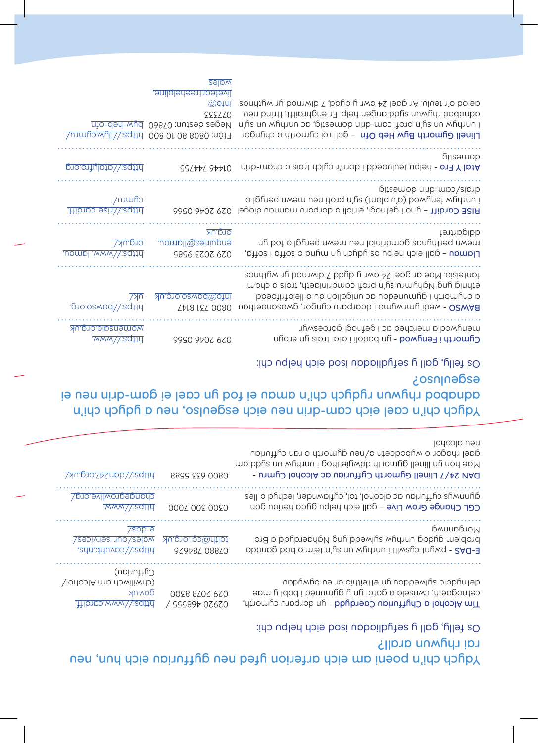# Ydych chi'n poeni am eich arferion yfed neu gyffuriau eich hun, neu rai rhywun arall?

Os felly, gall y sefydliadau isod eich helpu chi:

|                                                                              | <u>vales</u><br><u>ivefearfreehelpline</u> .<br><b>@ojui</b><br>555/10<br>Neges destun: 07860 byw-heb-ofn<br>Ffôn: 0808 801 08 00 bttps://llyw.cymru/ | aelod o'r teulu. Ar gael 24 awr y dydd, 7 diwrnod yr wythnos<br>usu buitit, ffring angen help. Er enghraifft, ffrind neu<br>u fis un mfiyuun op 'bitsamob uinb-moo itonq n'u u wyuhun i<br>Llinell Gymorth Byw Heb Ofn - gall roi cymorth a chyngor |
|------------------------------------------------------------------------------|-------------------------------------------------------------------------------------------------------------------------------------------------------|-----------------------------------------------------------------------------------------------------------------------------------------------------------------------------------------------------------------------------------------------------|
| bro.ortuloto\\;sqttd                                                         | <b>GSLPPL 9PPLO</b>                                                                                                                                   | pitzemob<br>Atal Y Fro - helpu teuluoedd i dorri'r cylch trais a cham-drin                                                                                                                                                                          |
| <b>Trumpo</b><br>https://rise-cardiff.                                       |                                                                                                                                                       | gits mob ninb-mpo/sipnb<br>i unrhyend (a'u plant) sy'n profi neu mewn perygl o<br><b>RISE Cardiff - yno i gefnogi, eirioli a darparu mannau diogel 029 2046 0566</b>                                                                                |
| <u>Org.uk/</u><br>npmpll.www/\.sqffd                                         | <u>orq.uk</u><br>enquiries@llamau.<br>9896 2007 670                                                                                                   | ddigartref<br>mewn perthynas gaminiol neu mewn peryglo fod n<br>Llamau - gall eich helpu os yaggran ungua o soffa i soffa,                                                                                                                          |
| 7 <sub>Y</sub><br>https://bawso.org.                                         | <u>info@bawso.org.uk</u><br><b>TAI8 IST 0080</b>                                                                                                      | fanteisio. Mae ar gael 24 awr y dydd 7 diwrnod yr wythnos<br>ethnig yng Nghymru sy'n profi camdriniaeth, trais a cham-<br>a chymorth i gymunedau ac unigolion du la lleiafrifoedd<br>BAWSO - wedi ymrwymo i ddarparu cyngor, gwasanaethau           |
| <u>womensaid.org.uk</u><br>www/\;sqttd                                       | 9990 9+07 670                                                                                                                                         | menywod a merched ac i gefnogi goroeswyr<br>Cymorth i Fenyune - yn bodoli i atal trais yn erbyn                                                                                                                                                     |
|                                                                              |                                                                                                                                                       | Os felly, gall y sefydliadau isod eich helpu chi:<br>osulusos<br>ie uen misbodini rybushi dho is now ei fod yn cael ei gam-drin neu ei<br>Ydych chi'n cael eich cam-drin nen eich esgeulso, neu a ydych chi'n                                       |
| https://dan247.ora.uk/                                                       | 0800 633 5588                                                                                                                                         | lodoblo uen<br>gael rhagor o wybodaeth a/neu gymorth o ran cyffuriau<br>mo bbus nu wychistyle glambo drugieli na byłowne i pod som<br>DAN 24/7 Llinell Gymorth Cyffuriau ac Alcohol Cymru -                                                         |
| changegrowlive.org/<br>MWW/\:sqttu                                           | 000L 002 0020                                                                                                                                         | αλυνικής σήμαισής σε αιτοροί, tai, cyfiawnder, iechyd a lles<br><b>CGL Change Grow Live - gall eich helpu gyda heriau gan</b>                                                                                                                       |
| $7$ spp- $\overline{e}$<br><u>wales/our-services/</u><br>sdn.dduvpo//;sqttd. | taith@cgl.org.uk<br>97978L 088L0                                                                                                                      | Бмиирблом<br>ong b pphp.iabub. buh ppamins why underding bro<br>E-DAS - pwylt cysub i thimal un wylth bod games bod games                                                                                                                           |
|                                                                              |                                                                                                                                                       |                                                                                                                                                                                                                                                     |